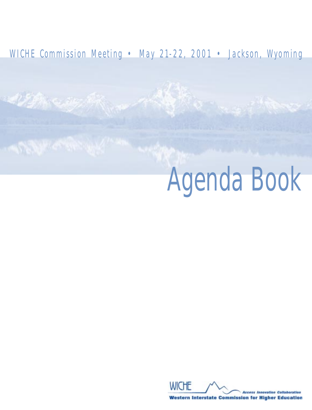# WICHE Commission Meeting . May 21-22, 2001 . Jackson, Wyoming

ングいん

# Agenda Book

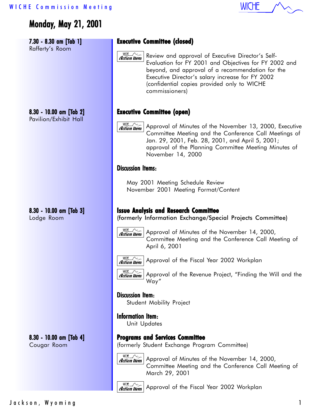

7.30 - 8.30 am [Tab 1] Rafferty's Room

8.30 - 10.00 am [Tab 2] Pavilion/Exhibit Hall

8.30 - 10.00 am [Tab 3] Lodge Room

8.30 - 10.00 am [Tab 4] Cougar Room

#### **Executive Committee (closed)**

 $\overbrace{Action}^{\text{WCH}}$ Review and approval of Executive Director's Self-Evaluation for FY 2001 and Objectives for FY 2002 and beyond, and approval of a recommendation for the Executive Director's salary increase for FY 2002 (confidential copies provided only to WICHE commissioners)

#### Executive Committee (open)

WICHE A Approval of Minutes of the November 13, 2000, Executive **Action** Item Committee Meeting and the Conference Call Meetings of Jan. 29, 2001, Feb. 28, 2001, and April 5, 2001; approval of the Planning Committee Meeting Minutes of November 14, 2000

#### **Discussion Items:**

May 2001 Meeting Schedule Review November 2001 Meeting Format/Content

#### **Issue Analysis and Research Committee**

(formerly Information Exchange/Special Projects Committee)



Approval of Minutes of the November 14, 2000, Committee Meeting and the Conference Call Meeting of April 6, 2001



Approval of the Fiscal Year 2002 Workplan

**WICHF Action Item** 

Approval of the Revenue Project, "Finding the Will and the Way"

#### Discussion Item:

Student Mobility Project

#### Information Item:

Unit Updates

#### Programs and Services Committee

(formerly Student Exchange Program Committee)



Approval of Minutes of the November 14, 2000, Committee Meeting and the Conference Call Meeting of March 29, 2001



Approval of the Fiscal Year 2002 Workplan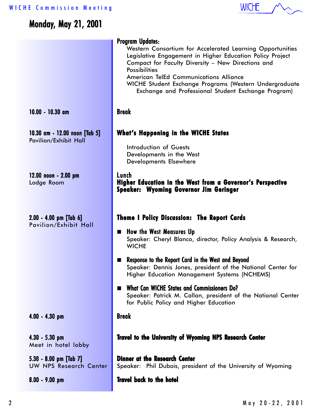

|                                                               | <b>Program Updates:</b><br>Western Consortium for Accelerated Learning Opportunities<br>Legislative Engagement in Higher Education Policy Project<br>Compact for Faculty Diversity - New Directions and<br><b>Possibilities</b><br>American TelEd Communications Alliance<br>WICHE Student Exchange Programs (Western Undergraduate<br>Exchange and Professional Student Exchange Program)                                                                                                                     |
|---------------------------------------------------------------|----------------------------------------------------------------------------------------------------------------------------------------------------------------------------------------------------------------------------------------------------------------------------------------------------------------------------------------------------------------------------------------------------------------------------------------------------------------------------------------------------------------|
| $10.00 - 10.30$ am                                            | <b>Break</b>                                                                                                                                                                                                                                                                                                                                                                                                                                                                                                   |
| 10.30 am - 12.00 noon [Tab 5]<br><b>Pavilion/Exhibit Hall</b> | <b>What's Happening in the WICHE States</b><br>Introduction of Guests<br>Developments in the West<br><b>Developments Elsewhere</b>                                                                                                                                                                                                                                                                                                                                                                             |
| $12.00$ noon $- 2.00$ pm<br>Lodge Room                        | Lunch<br>Higher Education in the West from a Governor's Perspective<br>Speaker: Wyoming Governor Jim Geringer                                                                                                                                                                                                                                                                                                                                                                                                  |
| $2.00 - 4.00$ pm [Tab 6]<br>Pavilion/Exhibit Hall             | <b>Theme I Policy Discussion: The Report Cards</b><br><b>How the West Measures Up</b><br>Speaker: Cheryl Blanco, director, Policy Analysis & Research,<br><b>WICHE</b><br>Response to the Report Card in the West and Beyond<br>ш<br>Speaker: Dennis Jones, president of the National Center for<br>Higher Education Management Systems (NCHEMS)<br>What Can WICHE States and Commissioners Do?<br>ш<br>Speaker: Patrick M. Callan, president of the National Center<br>for Public Policy and Higher Education |
| $4.00 - 4.30$ pm                                              | <b>Break</b>                                                                                                                                                                                                                                                                                                                                                                                                                                                                                                   |
| $4.30 - 5.30$ pm<br>Meet in hotel lobby                       | Travel to the University of Wyoming NPS Research Center                                                                                                                                                                                                                                                                                                                                                                                                                                                        |
| $5.30 - 8.00$ pm [Tab 7]<br><b>UW NPS Research Center</b>     | <b>Dinner at the Research Center</b><br>Speaker: Phil Dubois, president of the University of Wyoming                                                                                                                                                                                                                                                                                                                                                                                                           |
| $8.00 - 9.00$ pm                                              | <b>Travel back to the hotel</b>                                                                                                                                                                                                                                                                                                                                                                                                                                                                                |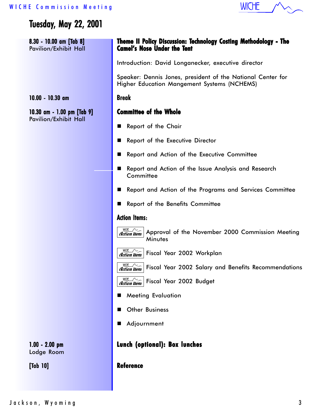

## **Tuesday, May 22, 2001**

 $8.30 - 10.00$  am [Tab 8] Pavilion/Exhibit Hall

10.00 - 10.30 am

 $10.30$  am -  $1.00$  pm [Tab 9] Pavilion/Exhibit Hall

1.00 - 2.00 pm Lodge Room

[Tab 10]

#### Theme II Policy Discussion: Technology Costing Methodology - The Camel's Nose Under the Tent

Introduction: David Longanecker, executive director

Speaker: Dennis Jones, president of the National Center for Higher Education Mangement Systems (NCHEMS)

#### Break

#### **Committee of the Whole**

- Report of the Chair
- Report of the Executive Director
- Report and Action of the Executive Committee
- Report and Action of the Issue Analysis and Research **Committee**
- Report and Action of the Programs and Services Committee
- Report of the Benefits Committee

#### Action Items:

**WICHE** 

- WICHE A Approval of the November 2000 Commission Meeting **Action** Item **Minutes**
- WICHE A Action Item
	- Fiscal Year 2002 Workplan
- Fiscal Year 2002 Salary and Benefits Recommendations **Action** Item
- WICHE  $\frac{1}{\pi}$  Fiscal Year 2002 Budget
- **Meeting Evaluation**
- **D** Other Business
- Adjournment

#### Lunch (optional): Box lunches

#### Reference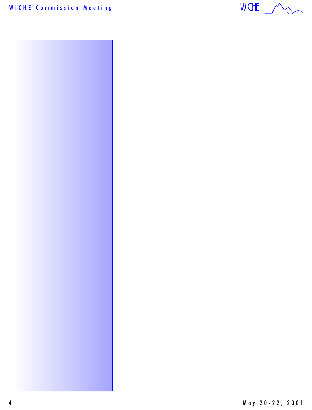

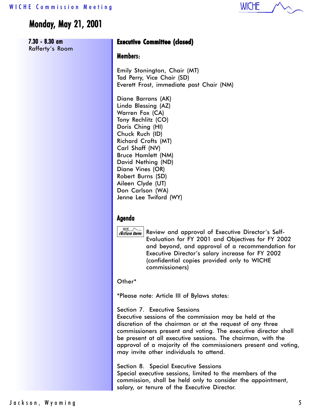

7.30 - 8.30 am Rafferty's Room

#### **Executive Committee (closed)**

#### Members:

Emily Stonington, Chair (MT) Tad Perry, Vice Chair (SD) Everett Frost, immediate past Chair (NM)

Diane Barrans (AK) Linda Blessing (AZ) Warren Fox (CA) Tony Rechlitz (CO) Doris Ching (HI) Chuck Ruch (ID) Richard Crofts (MT) Carl Shaff (NV) Bruce Hamlett (NM) David Nething (ND) Diane Vines (OR) Robert Burns (SD) Aileen Clyde (UT) Don Carlson (WA) Jenne Lee Twiford (WY)

#### Agenda



Review and approval of Executive Director's Self-Evaluation for FY 2001 and Objectives for FY 2002 and beyond, and approval of a recommendation for Executive Director's salary increase for FY 2002 (confidential copies provided only to WICHE commissioners)

Other\*

\*Please note: Article III of Bylaws states:

Section 7. Executive Sessions

Executive sessions of the commission may be held at the discretion of the chairman or at the request of any three commissioners present and voting. The executive director shall be present at all executive sessions. The chairman, with the approval of a majority of the commissioners present and voting, may invite other individuals to attend.

Section 8. Special Executive Sessions Special executive sessions, limited to the members of the commission, shall be held only to consider the appointment, salary, or tenure of the Executive Director.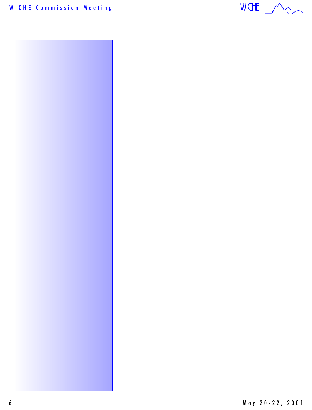

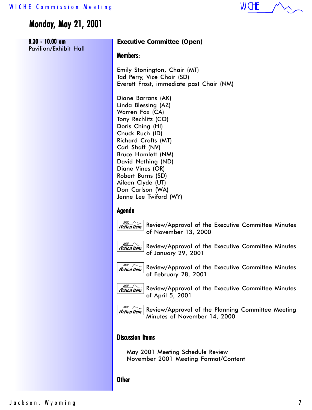

| $8.30 - 10.00$ am     | Executive Committee (Open)                                                                                                                                                                                                                                                                                                                |
|-----------------------|-------------------------------------------------------------------------------------------------------------------------------------------------------------------------------------------------------------------------------------------------------------------------------------------------------------------------------------------|
| Pavilion/Exhibit Hall | Members:                                                                                                                                                                                                                                                                                                                                  |
|                       | Emily Stonington, Chair (MT)<br>Tad Perry, Vice Chair (SD)<br>Everett Frost, immediate past Chair (NM)                                                                                                                                                                                                                                    |
|                       | Diane Barrans (AK)<br>Linda Blessing (AZ)<br>Warren Fox (CA)<br>Tony Rechlitz (CO)<br>Doris Ching (HI)<br>Chuck Ruch (ID)<br><b>Richard Crofts (MT)</b><br>Carl Shaff (NV)<br><b>Bruce Hamlett (NM)</b><br>David Nething (ND)<br>Diane Vines (OR)<br>Robert Burns (SD)<br>Aileen Clyde (UT)<br>Don Carlson (WA)<br>Jenne Lee Twiford (WY) |
|                       | <b>Agenda</b>                                                                                                                                                                                                                                                                                                                             |
|                       | WICHE M<br>Review/Approval of the Executive Committee Minutes<br>Action Item<br>of November 13, 2000                                                                                                                                                                                                                                      |
|                       | WICHE M<br>Review/Approval of the Executive Committee Minutes<br><b>Action Item</b><br>of January 29, 2001                                                                                                                                                                                                                                |
|                       | WICHE M<br>Review/Approval of the Executive Committee Minutes<br><b>Action Item</b><br>of February 28, 2001                                                                                                                                                                                                                               |
|                       | Wiche<br>Review/Approval of the Executive Committee Minutes<br><b>Action</b> Item<br>of April 5, 2001                                                                                                                                                                                                                                     |
|                       | $\overbrace{Action}^{\text{WCH}}$<br>Review/Approval of the Planning Committee Meeting<br>Minutes of November 14, 2000                                                                                                                                                                                                                    |
|                       | <b>Discussion Items</b>                                                                                                                                                                                                                                                                                                                   |
|                       | May 2001 Meeting Schedule Review<br>November 2001 Meeting Format/Content                                                                                                                                                                                                                                                                  |
|                       | <b>Other</b>                                                                                                                                                                                                                                                                                                                              |

Jackson, Wyoming 7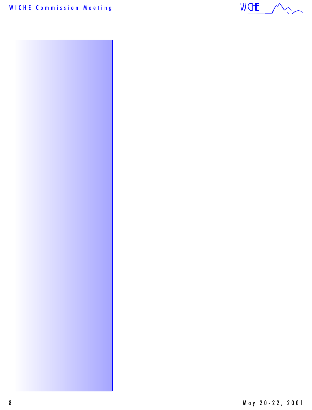

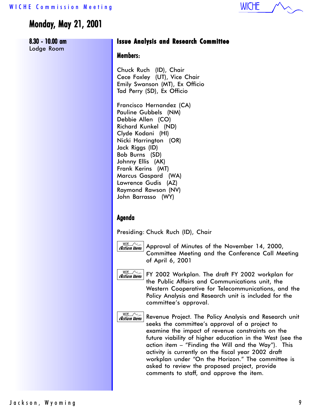

8.30 - 10.00 am Lodge Room

#### **Issue Analysis and Research Committee**

#### Members:

Chuck Ruch (ID), Chair Cece Foxley (UT), Vice Chair Emily Swanson (MT), Ex Officio Tad Perry (SD), Ex Officio

Francisco Hernandez (CA) Pauline Gubbels (NM) Debbie Allen (CO) Richard Kunkel (ND) Clyde Kodani (HI) Nicki Harrington (OR) Jack Riggs (ID) Bob Burns (SD) Johnny Ellis (AK) Frank Kerins (MT) Marcus Gaspard (WA) Lawrence Gudis (AZ) Raymond Rawson (NV) John Barrasso (WY)

#### Agenda

WICHE

Presiding: Chuck Ruch (ID), Chair

 $\overbrace{Action}^{\text{WCH}}$  Hem Approval of Minutes of the November 14, 2000, Committee Meeting and the Conference Call Meeting of April 6, 2001

**WICHE** FY 2002 Workplan. The draft FY 2002 workplan for **Action** Item the Public Affairs and Communications unit, the Western Cooperative for Telecommunications, and the Policy Analysis and Research unit is included for the committee's approval.

 $\overbrace{Action}^{\text{WCHE}}$ 

Revenue Project. The Policy Analysis and Research unit seeks the committee's approval of a project to examine the impact of revenue constraints on the future viability of higher education in the West (see the action item – "Finding the Will and the Way"). This activity is currently on the fiscal year 2002 draft workplan under "On the Horizon." The committee is asked to review the proposed project, provide comments to staff, and approve the item.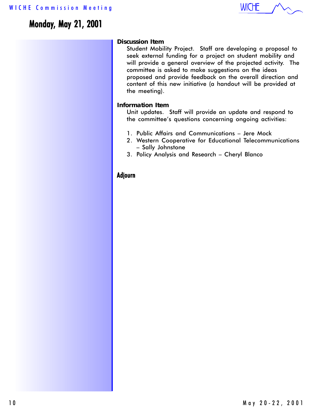

#### **Discussion Item**

Student Mobility Project. Staff are developing a proposal to seek external funding for a project on student mobility and will provide a general overview of the projected activity. The committee is asked to make suggestions on the ideas proposed and provide feedback on the overall direction and content of this new initiative (a handout will be provided at the meeting).

**Information Item**

Unit updates. Staff will provide an update and respond to the committee's questions concerning ongoing activities:

- 1. Public Affairs and Communications Jere Mock
- 2. Western Cooperative for Educational Telecommunications – Sally Johnstone
- 3. Policy Analysis and Research Cheryl Blanco

#### Adjourn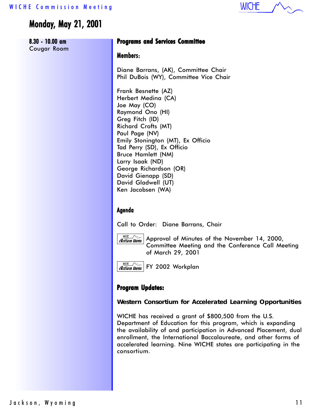

8.30 - 10.00 am Cougar Room

#### Programs and Services Committee

#### Members:

Diane Barrans, (AK), Committee Chair Phil DuBois (WY), Committee Vice Chair

Frank Besnette (AZ) Herbert Medina (CA) Joe May (CO) Raymond Ono (HI) Greg Fitch (ID) Richard Crofts (MT) Paul Page (NV) Emily Stonington (MT), Ex Officio Tad Perry (SD), Ex Officio Bruce Hamlett (NM) Larry Isaak (ND) George Richardson (OR) David Gienapp (SD) David Gladwell (UT) Ken Jacobsen (WA)

#### Agenda

Call to Order: Diane Barrans, Chair

WICHE / Approval of Minutes of the November 14, 2000, **Action Item** Committee Meeting and the Conference Call Meeting of March 29, 2001



Action liem | FY 2002 Workplan

#### Program Updates:

**Western Consortium for Accelerated Learning Opportunities**

WICHE has received a grant of \$800,500 from the U.S. Department of Education for this program, which is expanding the availability of and participation in Advanced Placement, dual enrollment, the International Baccalaureate, and other forms of accelerated learning. Nine WICHE states are participating in the consortium.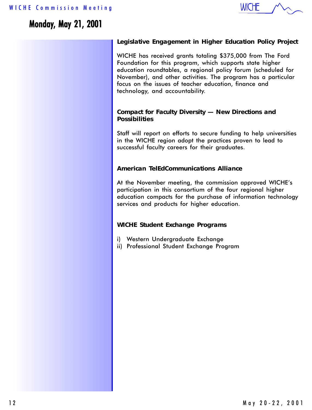

| MUNUUJ, MUJ LI, LUVI |                                                                                                                                                                                                                                                                                                                                                      |  |
|----------------------|------------------------------------------------------------------------------------------------------------------------------------------------------------------------------------------------------------------------------------------------------------------------------------------------------------------------------------------------------|--|
|                      | Legislative Engagement in Higher Education Policy Project                                                                                                                                                                                                                                                                                            |  |
|                      | WICHE has received grants totaling \$375,000 from The Ford<br>Foundation for this program, which supports state higher<br>education roundtables, a regional policy forum (scheduled for<br>November), and other activities. The program has a particular<br>focus on the issues of teacher education, finance and<br>technology, and accountability. |  |
|                      | Compact for Faculty Diversity - New Directions and<br><b>Possibilities</b>                                                                                                                                                                                                                                                                           |  |
|                      | Staff will report on efforts to secure funding to help universities<br>in the WICHE region adopt the practices proven to lead to<br>successful faculty careers for their graduates.                                                                                                                                                                  |  |
|                      | American TelEdCommunications Alliance                                                                                                                                                                                                                                                                                                                |  |
|                      | At the November meeting, the commission approved WICHE's<br>participation in this consortium of the four regional higher<br>education compacts for the purchase of information technology<br>services and products for higher education.                                                                                                             |  |
|                      | <b>WICHE Student Exchange Programs</b>                                                                                                                                                                                                                                                                                                               |  |
|                      | i) Western Undergraduate Exchange<br>ii) Professional Student Exchange Program                                                                                                                                                                                                                                                                       |  |
|                      |                                                                                                                                                                                                                                                                                                                                                      |  |
|                      |                                                                                                                                                                                                                                                                                                                                                      |  |
|                      |                                                                                                                                                                                                                                                                                                                                                      |  |
|                      |                                                                                                                                                                                                                                                                                                                                                      |  |
|                      |                                                                                                                                                                                                                                                                                                                                                      |  |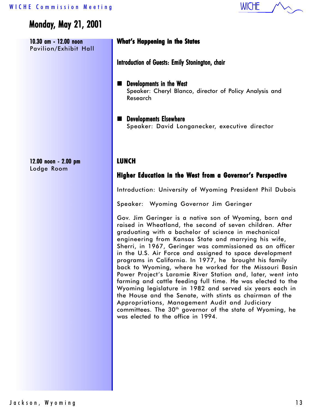

10.30 am - 12.00 noon Pavilion/Exhibit Hall

12.00 noon - 2.00 pm Lodge Room

#### What's Happening in the States

Introduction of Guests: Emily Stonington, chair

**Developments in the West** Speaker: Cheryl Blanco, director of Policy Analysis and Research

**EXECUTE:** Developments Elsewhere Speaker: David Longanecker, executive director

#### LUNCH

#### Higher Education in the West from a Governor's Perspective

Introduction: University of Wyoming President Phil Dubois

Speaker: Wyoming Governor Jim Geringer

Gov. Jim Geringer is a native son of Wyoming, born and raised in Wheatland, the second of seven children. After graduating with a bachelor of science in mechanical engineering from Kansas State and marrying his wife, Sherri, in 1967, Geringer was commissioned as an officer in the U.S. Air Force and assigned to space development programs in California. In 1977, he brought his family back to Wyoming, where he worked for the Missouri Basin Power Project's Laramie River Station and, later, went into farming and cattle feeding full time. He was elected to the Wyoming legislature in 1982 and served six years each in the House and the Senate, with stints as chairman of the Appropriations, Management Audit and Judiciary committees. The 30<sup>th</sup> governor of the state of Wyoming, he was elected to the office in 1994.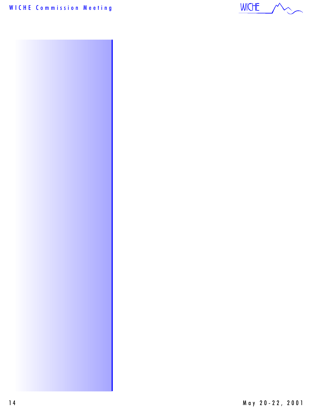

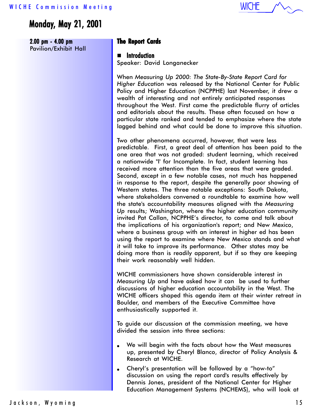

2.00 pm - 4.00 pm Pavilion/Exhibit Hall

#### The Report Cards

#### **Introduction**

Speaker: David Longanecker

When Measuring Up 2000: The State-By-State Report Card for Higher Education was released by the National Center for Public Policy and Higher Education (NCPPHE) last November, it drew a wealth of interesting and not entirely anticipated responses throughout the West. First came the predictable flurry of articles and editorials about the results. These often focused on how a particular state ranked and tended to emphasize where the state lagged behind and what could be done to improve this situation.

Two other phenomena occurred, however, that were less predictable. First, a great deal of attention has been paid to the one area that was not graded: student learning, which received a nationwide "I' for Incomplete. In fact, student learning has received more attention than the five areas that were graded. Second, except in a few notable cases, not much has happened in response to the report, despite the generally poor showing of Western states. The three notable exceptions: South Dakota, where stakeholders convened a roundtable to examine how well the state's accountability measures aligned with the Measuring Up results; Washington, where the higher education community invited Pat Callan, NCPPHE's director, to come and talk about the implications of his organization's report; and New Mexico, where a business group with an interest in higher ed has been using the report to examine where New Mexico stands and what it will take to improve its performance. Other states may be doing more than is readily apparent, but if so they are keeping their work reasonably well hidden.

WICHE commissioners have shown considerable interest in Measuring Up and have asked how it can be used to further discussions of higher education accountability in the West. The WICHE officers shaped this agenda item at their winter retreat in Boulder, and members of the Executive Committee have enthusiastically supported it.

To guide our discussion at the commission meeting, we have divided the session into three sections:

- We will begin with the facts about how the West measures up, presented by Cheryl Blanco, director of Policy Analysis & Research at WICHE.
- Cheryl's presentation will be followed by a "how-to" discussion on using the report card's results effectively by Dennis Jones, president of the National Center for Higher Education Management Systems (NCHEMS), who will look at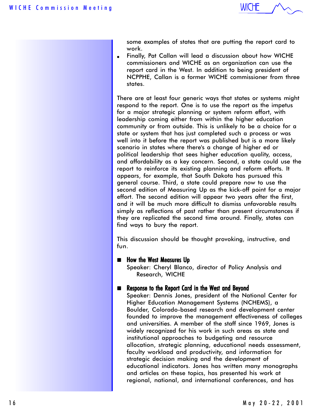

some examples of states that are putting the report card to work.

Finally, Pat Callan will lead a discussion about how WICHE commissioners and WICHE as an organization can use the report card in the West. In addition to being president of NCPPHE, Callan is a former WICHE commissioner from three states.

There are at least four generic ways that states or systems might respond to the report. One is to use the report as the impetus for a major strategic planning or system reform effort, with leadership coming either from within the higher education community or from outside. This is unlikely to be a choice for a state or system that has just completed such a process or was well into it before the report was published but is a more likely scenario in states where there's a change of higher ed or political leadership that sees higher education quality, access, and affordability as a key concern. Second, a state could use the report to reinforce its existing planning and reform efforts. It appears, for example, that South Dakota has pursued this general course. Third, a state could prepare now to use the second edition of Measuring Up as the kick-off point for a major effort. The second edition will appear two years after the first, and it will be much more difficult to dismiss unfavorable results simply as reflections of past rather than present circumstances if they are replicated the second time around. Finally, states can find ways to bury the report.

This discussion should be thought provoking, instructive, and fun.

#### $\blacksquare$  How the West Measures Up

Speaker: Cheryl Blanco, director of Policy Analysis and Research, WICHE

#### **Response to the Report Card in the West and Beyond Response to the Report Card in the West and Beyond**

Speaker: Dennis Jones, president of the National Center for Higher Education Management Systems (NCHEMS), a Boulder, Colorado-based research and development center founded to improve the management effectiveness of colleges and universities. A member of the staff since 1969, Jones is widely recognized for his work in such areas as state and institutional approaches to budgeting and resource allocation, strategic planning, educational needs assessment, faculty workload and productivity, and information for strategic decision making and the development of educational indicators. Jones has written many monographs and articles on these topics, has presented his work at regional, national, and international conferences, and has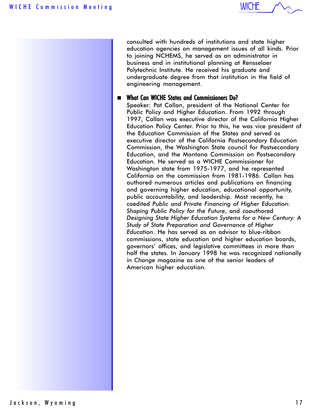

consulted with hundreds of institutions and state higher education agencies on management issues of all kinds. Prior to joining NCHEMS, he served as an administrator in business and in institutional planning at Rensselaer Polytechnic Institute. He received his graduate and undergraduate degree from that institution in the field of engineering management.

#### ■ What Can WICHE States and Commissioners Do?

Speaker: Pat Callan, president of the National Center for Public Policy and Higher Education. From 1992 through 1997, Callan was executive director of the California Higher Education Policy Center. Prior to this, he was vice president of the Education Commission of the States and served as executive director of the California Postsecondary Education Commission, the Washington State council for Postsecondary Education, and the Montana Commission on Postsecondary Education. He served as a WICHE Commissioner for Washington state from 1975-1977, and he represented California on the commission from 1981-1986. Callan has authored numerous articles and publications on financing and governing higher education, educational opportunity, public accountability, and leadership. Most recently, he coedited Public and Private Financing of Higher Education: Shaping Public Policy for the Future, and coauthored Designing State Higher Education Systems for a New Century: A Study of State Preparation and Governance of Higher Education. He has served as an advisor to blue-ribbon commissions, state education and higher education boards, governors' offices, and legislative committees in more than half the states. In January 1998 he was recognized nationally in Change magazine as one of the senior leaders of American higher education.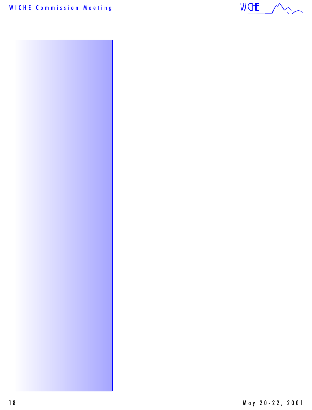

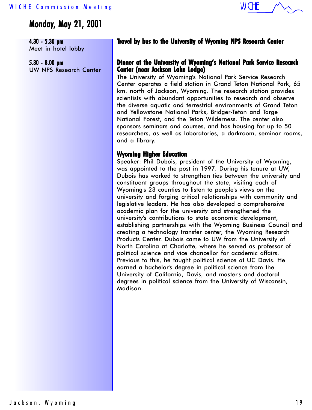

4.30 - 5.30 pm Meet in hotel lobby

#### 5.30 - 8.00 pm

UW NPS Research Center

#### Travel by bus to the University of Wyoming NPS Research Center

#### Dinner at the University of Wyoming's National Park Service Research Center (near Jackson Lake Lodge)

The University of Wyoming's National Park Service Research Center operates a field station in Grand Teton National Park, 65 km. north of Jackson, Wyoming. The research station provides scientists with abundant opportunities to research and observe the diverse aquatic and terrestrial environments of Grand Teton and Yellowstone National Parks, Bridger-Teton and Targe National Forest, and the Teton Wilderness. The center also sponsors seminars and courses, and has housing for up to 50 researchers, as well as laboratories, a darkroom, seminar rooms, and a library.

#### Wyoming Higher Education

Speaker: Phil Dubois, president of the University of Wyoming, was appointed to the post in 1997. During his tenure at UW, Dubois has worked to strengthen ties between the university and constituent groups throughout the state, visiting each of Wyoming's 23 counties to listen to people's views on the university and forging critical relationships with community and legislative leaders. He has also developed a comprehensive academic plan for the university and strengthened the university's contributions to state economic development, establishing partnerships with the Wyoming Business Council and creating a technology transfer center, the Wyoming Research Products Center. Dubois came to UW from the University of North Carolina at Charlotte, where he served as professor of political science and vice chancellor for academic affairs. Previous to this, he taught political science at UC Davis. He earned a bachelor's degree in political science from the University of California, Davis, and master's and doctoral degrees in political science from the University of Wisconsin, Madison.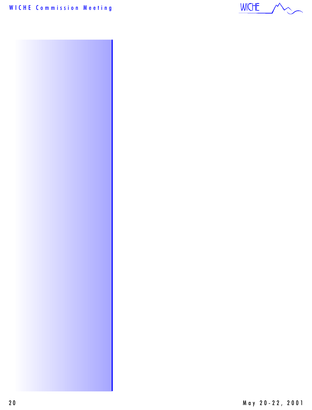

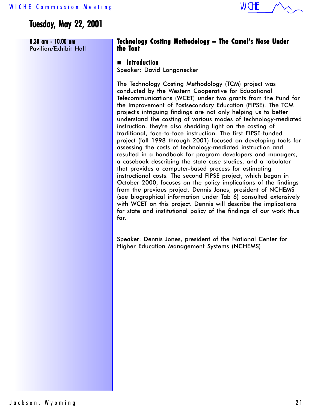

## **Tuesday, May 22, 2001**

8.30 am - 10.00 am Pavilion/Exhibit Hall

#### Technology Costing Methodology – The Camel's Nose Under the Tent

#### $\blacksquare$  Introduction

Speaker: David Longanecker

The Technology Costing Methodology (TCM) project was conducted by the Western Cooperative for Educational Telecommunications (WCET) under two grants from the Fund for the Improvement of Postsecondary Education (FIPSE). The TCM project's intriguing findings are not only helping us to better understand the costing of various modes of technology-mediated instruction, they're also shedding light on the costing of traditional, face-to-face instruction. The first FIPSE-funded project (fall 1998 through 2001) focused on developing tools for assessing the costs of technology-mediated instruction and resulted in a handbook for program developers and managers, a casebook describing the state case studies, and a tabulator that provides a computer-based process for estimating instructional costs. The second FIPSE project, which began in October 2000, focuses on the policy implications of the findings from the previous project. Dennis Jones, president of NCHEMS (see biographical information under Tab 6) consulted extensively with WCET on this project. Dennis will describe the implications for state and institutional policy of the findings of our work thus far.

Speaker: Dennis Jones, president of the National Center for Higher Education Management Systems (NCHEMS)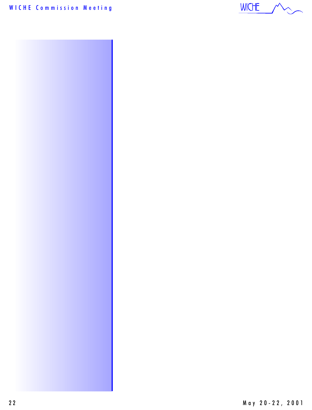

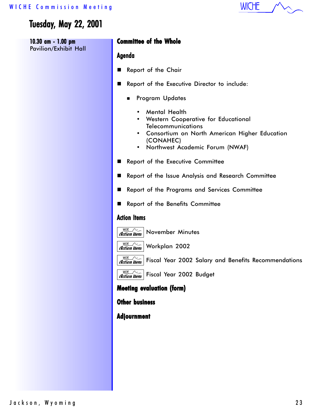

## **Tuesday, May 22, 2001**

10.30 am - 1.00 pm Pavilion/Exhibit Hall

#### **Committee of the Whole**

#### Agenda

- Report of the Chair
- Report of the Executive Director to include:
	- **Program Updates** 
		- Mental Health
		- Western Cooperative for Educational **Telecommunications**
		- Consortium on North American Higher Education (CONAHEC)
		- Northwest Academic Forum (NWAF)
- Report of the Executive Committee
- Report of the Issue Analysis and Research Committee
- Report of the Programs and Services Committee
- Report of the Benefits Committee

#### **Action Items**

WICHE A November Minutes **Action** Item



Workplan 2002



Fiscal Year 2002 Salary and Benefits Recommendations

Wiche

 $\frac{MICTE}{Action$  *Hem* | Fiscal Year 2002 Budget

**Meeting evaluation (form)** 

**Other business** 

**Adjournment**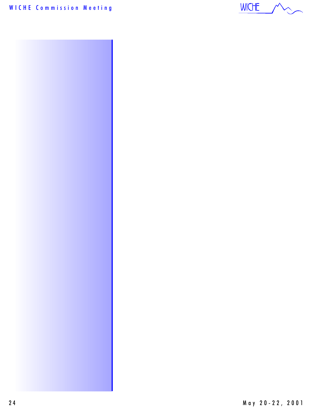

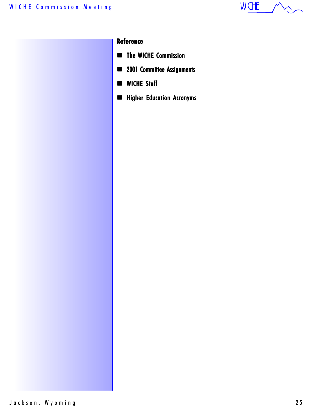

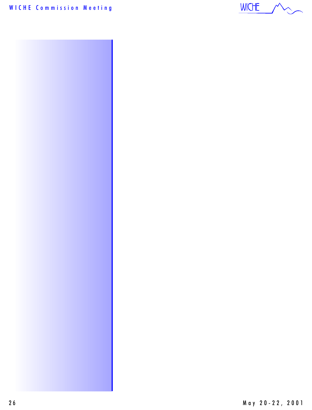